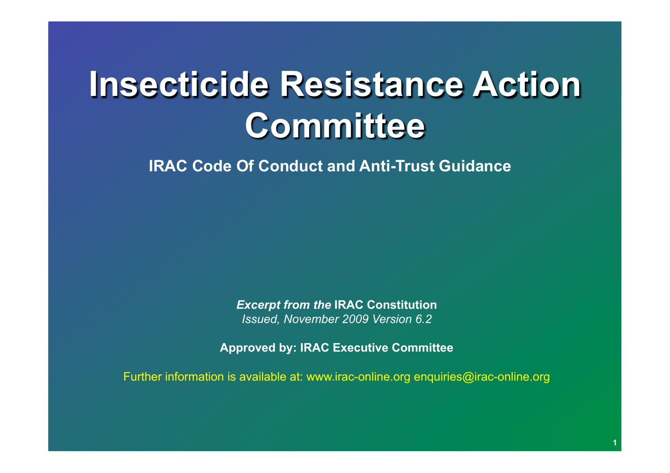# **Insecticide Resistance Action Committee Insecticide Resistance Action Committee**

**IRAC Code Of Conduct and Anti-Trust Guidance**

*Excerpt from the* **IRAC Constitution**  *Issued, November 2009 Version 6.2* 

**Approved by: IRAC Executive Committee** 

Further information is available at: www.irac-online.org enquiries@irac-online.org

**1**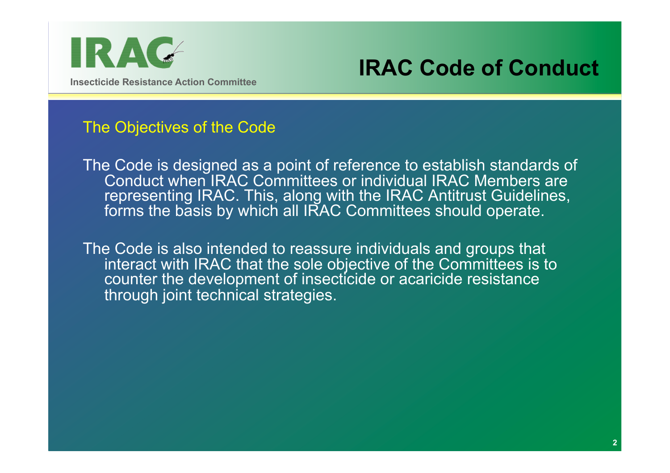

### **IRAC Code of Conduct**

#### The Objectives of the Code

The Code is designed as a point of reference to establish standards of Conduct when IRAC Committees or individual IRAC Members are representing IRAC. This, along with the IRAC Antitrust Guidelines, forms the basis by which all IRAC Committees should operate.

The Code is also intended to reassure individuals and groups that interact with IRAC that the sole objective of the Committees is to counter the development of insecticide or acaricide resistance through joint technical strategies.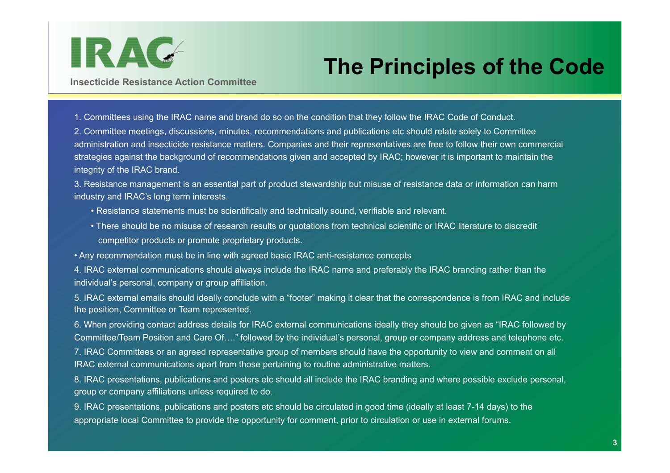

## **The Principles of the Code**

**Insecticide Resistance Action Committee** 

1. Committees using the IRAC name and brand do so on the condition that they follow the IRAC Code of Conduct.

2. Committee meetings, discussions, minutes, recommendations and publications etc should relate solely to Committee administration and insecticide resistance matters. Companies and their representatives are free to follow their own commercial strategies against the background of recommendations given and accepted by IRAC; however it is important to maintain the integrity of the IRAC brand.

3. Resistance management is an essential part of product stewardship but misuse of resistance data or information can harm industry and IRAC's long term interests.

- Resistance statements must be scientifically and technically sound, verifiable and relevant.
- There should be no misuse of research results or quotations from technical scientific or IRAC literature to discredit competitor products or promote proprietary products.

• Any recommendation must be in line with agreed basic IRAC anti-resistance concepts

4. IRAC external communications should always include the IRAC name and preferably the IRAC branding rather than the individual's personal, company or group affiliation.

5. IRAC external emails should ideally conclude with a "footer" making it clear that the correspondence is from IRAC and include the position, Committee or Team represented.

6. When providing contact address details for IRAC external communications ideally they should be given as "IRAC followed by Committee/Team Position and Care Of…." followed by the individual's personal, group or company address and telephone etc.

7. IRAC Committees or an agreed representative group of members should have the opportunity to view and comment on all IRAC external communications apart from those pertaining to routine administrative matters.

8. IRAC presentations, publications and posters etc should all include the IRAC branding and where possible exclude personal, group or company affiliations unless required to do.

9. IRAC presentations, publications and posters etc should be circulated in good time (ideally at least 7-14 days) to the appropriate local Committee to provide the opportunity for comment, prior to circulation or use in external forums.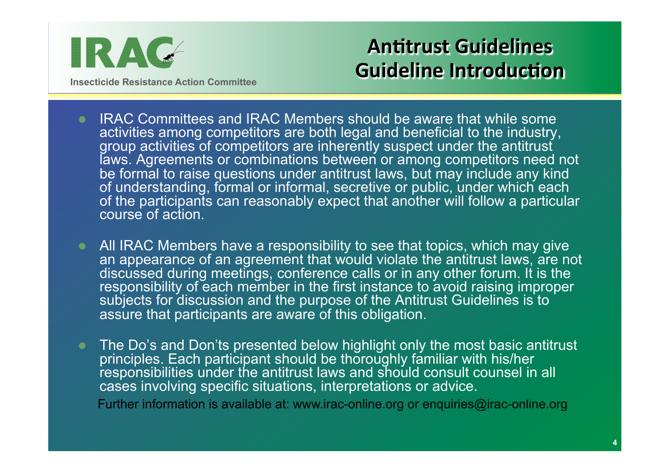

**Insecticide Resistance Action Committee** 

### **Antitrust Guidelines Guideline Introduction**

- IRAC Committees and IRAC Members should be aware that while some activities among competitors are both legal and beneficial to the industry, group activities of competitors are inherently suspect under the antitrust laws. Agreements or combinations between or among competitors need not be formal to raise questions under antitrust laws, but may include any kind of understanding, formal or informal, secretive or public, under which each of the participants can reasonably expect that another will follow a particular course of action.
- All IRAC Members have a responsibility to see that topics, which may give an appearance of an agreement that would violate the antitrust laws, are not discussed during meetings, conference calls or in any other forum. It is the responsibility of each member in the first instance to avoid raising improper subjects for discussion and the purpose of the Antitrust Guidelines is to assure that participants are aware of this obligation.
- The Do's and Don'ts presented below highlight only the most basic antitrust principles. Each participant should be thoroughly familiar with his/her responsibilities under the antitrust laws and should consult counsel in all cases involving specific situations, interpretations or advice.

Further information is available at: www.irac-online.org or enquiries@irac-online.org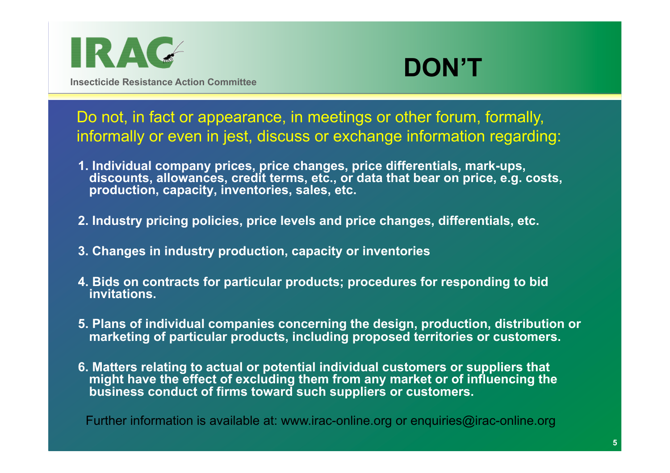



**Insecticide Resistance Action Committee** 

Do not, in fact or appearance, in meetings or other forum, formally, informally or even in jest, discuss or exchange information regarding:

- **1. Individual company prices, price changes, price differentials, mark-ups, discounts, allowances, credit terms, etc., or data that bear on price, e.g. costs, production, capacity, inventories, sales, etc.**
- **2. Industry pricing policies, price levels and price changes, differentials, etc.**
- **3. Changes in industry production, capacity or inventories**
- **4. Bids on contracts for particular products; procedures for responding to bid invitations.**
- **5. Plans of individual companies concerning the design, production, distribution or marketing of particular products, including proposed territories or customers.**
- **6. Matters relating to actual or potential individual customers or suppliers that might have the effect of excluding them from any market or of influencing the business conduct of firms toward such suppliers or customers.**

Further information is available at: www.irac-online.org or enquiries@irac-online.org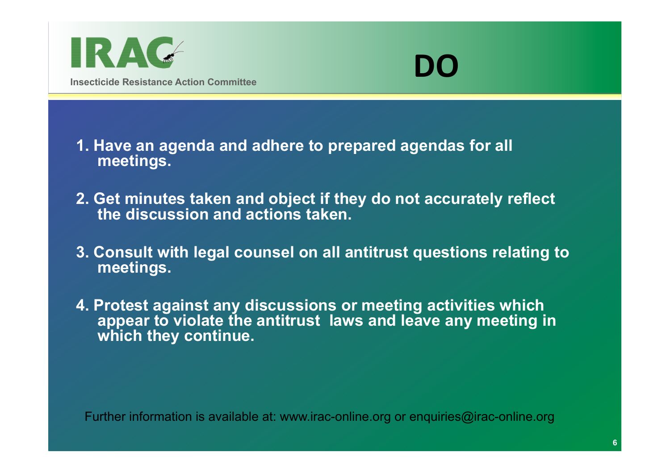



**1. Have an agenda and adhere to prepared agendas for all meetings.** 

- **2. Get minutes taken and object if they do not accurately reflect the discussion and actions taken.**
- **3. Consult with legal counsel on all antitrust questions relating to meetings.**
- **4. Protest against any discussions or meeting activities which appear to violate the antitrust laws and leave any meeting in which they continue.**

Further information is available at: www.irac-online.org or enquiries@irac-online.org